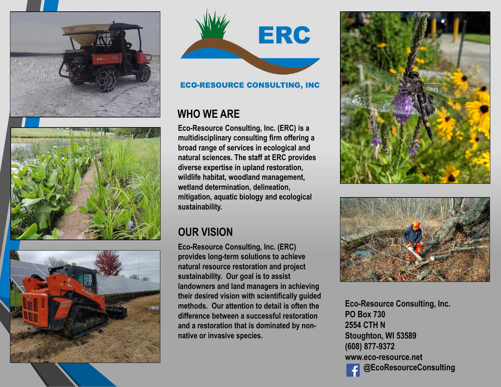



## **ECO-RESOURCE CONSULTING, INC**

## **WHO WE ARE**

**Eco-Resource Consulting, Inc. (ERC) is a multidisciplinary consulting firm offering a broad range of services in ecological and natural sciences. The staff at ERC provides diverse expertise in upland restoration, wildlife habitat, woodland management, wetland determination, delineation, mitigation, aquatic biology and ecological sustainability.** 

# **OUR VISION**

**Eco-Resource Consulting, Inc. (ERC) provides long-term solutions to achieve natural resource restoration and project sustainability. Our goal is to assist landowners and land managers in achieving their desired vision with scientifically guided methods. Our attention to detail is often the difference between a successful restoration and a restoration that is dominated by nonnative or invasive species.**





**Eco-Resource Consulting, Inc. PO Box 730 2554 CTH N Stoughton, WI 53589 (608) 877-9372 www.eco-resource.net @EcoResourceConsulting**